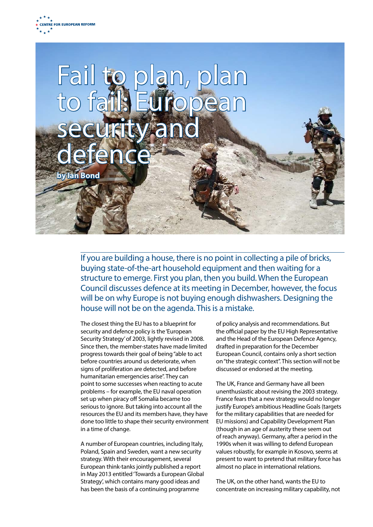



If you are building a house, there is no point in collecting a pile of bricks, buying state-of-the-art household equipment and then waiting for a structure to emerge. First you plan, then you build. When the European Council discusses defence at its meeting in December, however, the focus will be on why Europe is not buying enough dishwashers. Designing the house will not be on the agenda. This is a mistake.

The closest thing the EU has to a blueprint for security and defence policy is the 'European Security Strategy' of 2003, lightly revised in 2008. Since then, the member-states have made limited progress towards their goal of being "able to act before countries around us deteriorate, when signs of proliferation are detected, and before humanitarian emergencies arise". They can point to some successes when reacting to acute problems – for example, the EU naval operation set up when piracy off Somalia became too serious to ignore. But taking into account all the resources the EU and its members have, they have done too little to shape their security environment in a time of change.

A number of European countries, including Italy, Poland, Spain and Sweden, want a new security strategy. With their encouragement, several European think-tanks jointly published a report in May 2013 entitled 'Towards a European Global Strategy', which contains many good ideas and has been the basis of a continuing programme

of policy analysis and recommendations. But the official paper by the EU High Representative and the Head of the European Defence Agency, drafted in preparation for the December European Council, contains only a short section on "the strategic context". This section will not be discussed or endorsed at the meeting.

The UK, France and Germany have all been unenthusiastic about revising the 2003 strategy. France fears that a new strategy would no longer justify Europe's ambitious Headline Goals (targets for the military capabilities that are needed for EU missions) and Capability Development Plan (though in an age of austerity these seem out of reach anyway). Germany, after a period in the 1990s when it was willing to defend European values robustly, for example in Kosovo, seems at present to want to pretend that military force has almost no place in international relations.

The UK, on the other hand, wants the EU to concentrate on increasing military capability, not